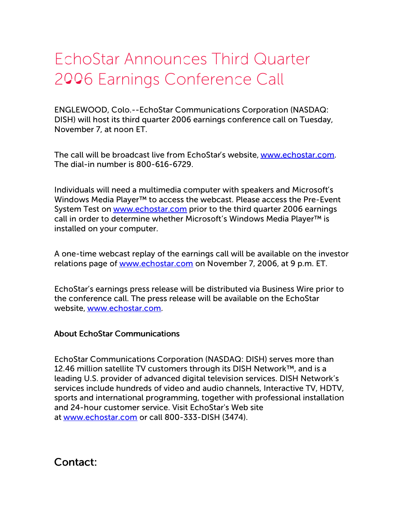## EchoStar Announces Third Quarter 2006 Earnings Conference Call

ENGLEWOOD, Colo.--EchoStar Communications Corporation (NASDAQ: DISH) will host its third quarter 2006 earnings conference call on Tuesday, November 7, at noon ET.

The call will be broadcast live from EchoStar's website, [www.echostar.com](http://www.echostar.com/). The dial-in number is 800-616-6729.

Individuals will need a multimedia computer with speakers and Microsoft's Windows Media Player™ to access the webcast. Please access the Pre-Event System Test on [www.echostar.com](http://www.echostar.com/) prior to the third quarter 2006 earnings call in order to determine whether Microsoft's Windows Media Player™ is installed on your computer.

A one-time webcast replay of the earnings call will be available on the investor relations page of [www.echostar.com](http://www.echostar.com/) on November 7, 2006, at 9 p.m. ET.

EchoStar's earnings press release will be distributed via Business Wire prior to the conference call. The press release will be available on the EchoStar website, [www.echostar.com](http://www.echostar.com/).

## About EchoStar Communications

EchoStar Communications Corporation (NASDAQ: DISH) serves more than 12.46 million satellite TV customers through its DISH Network™, and is a leading U.S. provider of advanced digital television services. DISH Network's services include hundreds of video and audio channels, Interactive TV, HDTV, sports and international programming, together with professional installation and 24-hour customer service. Visit EchoStar's Web site at [www.echostar.com](http://www.echostar.com/) or call 800-333-DISH (3474).

Contact: